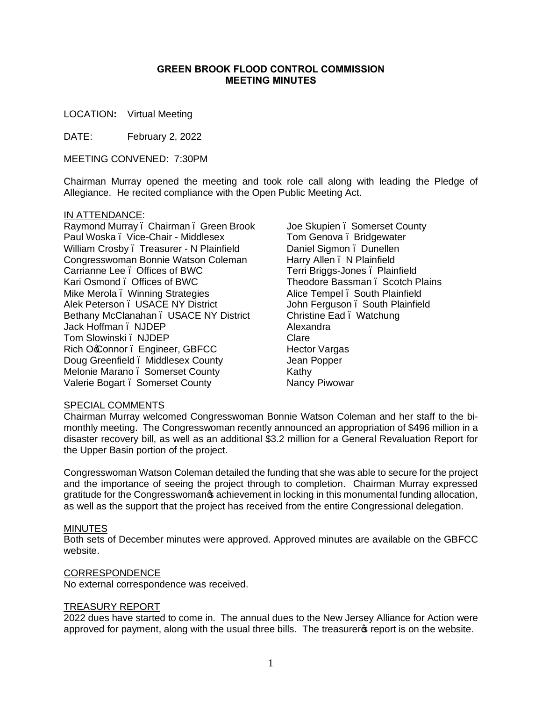#### **GREEN BROOK FLOOD CONTROL COMMISSION MEETING MINUTES**

LOCATION**:** Virtual Meeting

DATE: February 2, 2022

MEETING CONVENED: 7:30PM

Chairman Murray opened the meeting and took role call along with leading the Pledge of Allegiance. He recited compliance with the Open Public Meeting Act.

#### IN ATTENDANCE:

Raymond Murray – Chairman – Green Brook Paul Woska – Vice-Chair - Middlesex William Crosby – Treasurer - N Plainfield Congresswoman Bonnie Watson Coleman Carrianne Lee – Offices of BWC Kari Osmond – Offices of BWC Mike Merola . Winning Strategies Alek Peterson – USACE NY District Bethany McClanahan . USACE NY District Jack Hoffman – NJDEP Tom Slowinski – NJDEP Rich OcConnor . Engineer, GBFCC Doug Greenfield – Middlesex County Melonie Marano, Somerset County Valerie Bogart . Somerset County

Joe Skupien . Somerset County Tom Genova – Bridgewater Daniel Sigmon – Dunellen Harry Allen . N Plainfield Terri Briggs-Jones – Plainfield Theodore Bassman, Scotch Plains Alice Tempel – South Plainfield John Ferguson – South Plainfield Christine Ead – Watchung Alexandra Clare Hector Vargas Jean Popper Kathy Nancy Piwowar

## SPECIAL COMMENTS

Chairman Murray welcomed Congresswoman Bonnie Watson Coleman and her staff to the bimonthly meeting. The Congresswoman recently announced an appropriation of \$496 million in a disaster recovery bill, as well as an additional \$3.2 million for a General Revaluation Report for the Upper Basin portion of the project.

Congresswoman Watson Coleman detailed the funding that she was able to secure for the project and the importance of seeing the project through to completion. Chairman Murray expressed gratitude for the Congresswoman<sub>®</sub> achievement in locking in this monumental funding allocation, as well as the support that the project has received from the entire Congressional delegation.

#### MINUTES

Both sets of December minutes were approved. Approved minutes are available on the GBFCC website.

#### CORRESPONDENCE

No external correspondence was received.

#### TREASURY REPORT

2022 dues have started to come in. The annual dues to the New Jersey Alliance for Action were approved for payment, along with the usual three bills. The treasurers report is on the website.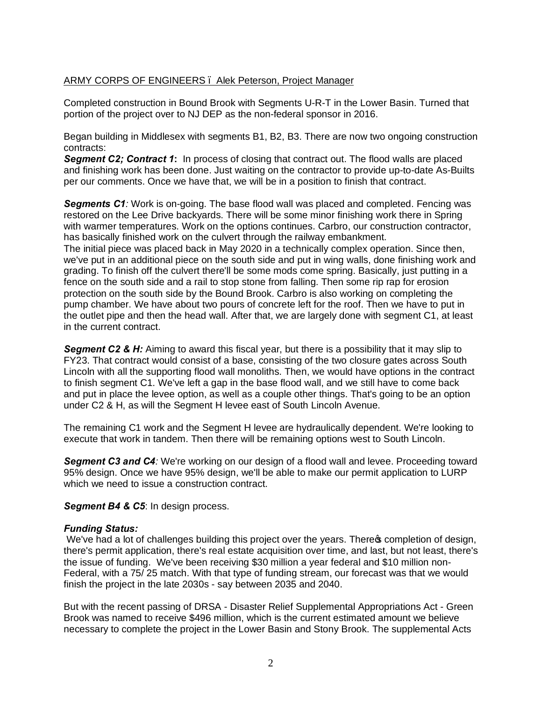# ARMY CORPS OF ENGINEERS – Alek Peterson, Project Manager

Completed construction in Bound Brook with Segments U-R-T in the Lower Basin. Turned that portion of the project over to NJ DEP as the non-federal sponsor in 2016.

Began building in Middlesex with segments B1, B2, B3. There are now two ongoing construction contracts:

*Segment C2; Contract 1***:** In process of closing that contract out. The flood walls are placed and finishing work has been done. Just waiting on the contractor to provide up-to-date As-Builts per our comments. Once we have that, we will be in a position to finish that contract.

**Segments C1***:* Work is on-going. The base flood wall was placed and completed. Fencing was restored on the Lee Drive backyards. There will be some minor finishing work there in Spring with warmer temperatures. Work on the options continues. Carbro, our construction contractor, has basically finished work on the culvert through the railway embankment. The initial piece was placed back in May 2020 in a technically complex operation. Since then, we've put in an additional piece on the south side and put in wing walls, done finishing work and grading. To finish off the culvert there'll be some mods come spring. Basically, just putting in a fence on the south side and a rail to stop stone from falling. Then some rip rap for erosion protection on the south side by the Bound Brook. Carbro is also working on completing the pump chamber. We have about two pours of concrete left for the roof. Then we have to put in the outlet pipe and then the head wall. After that, we are largely done with segment C1, at least in the current contract.

**Segment C2 & H:** Aiming to award this fiscal year, but there is a possibility that it may slip to FY23. That contract would consist of a base, consisting of the two closure gates across South Lincoln with all the supporting flood wall monoliths. Then, we would have options in the contract to finish segment C1. We've left a gap in the base flood wall, and we still have to come back and put in place the levee option, as well as a couple other things. That's going to be an option under C2 & H, as will the Segment H levee east of South Lincoln Avenue.

The remaining C1 work and the Segment H levee are hydraulically dependent. We're looking to execute that work in tandem. Then there will be remaining options west to South Lincoln.

*Segment C3 and C4:* We're working on our design of a flood wall and levee. Proceeding toward 95% design. Once we have 95% design, we'll be able to make our permit application to LURP which we need to issue a construction contract.

**Segment B4 & C5: In design process.** 

#### *Funding Status:*

We've had a lot of challenges building this project over the years. There completion of design, there's permit application, there's real estate acquisition over time, and last, but not least, there's the issue of funding. We've been receiving \$30 million a year federal and \$10 million non-Federal, with a 75/ 25 match. With that type of funding stream, our forecast was that we would finish the project in the late 2030s - say between 2035 and 2040.

But with the recent passing of DRSA - Disaster Relief Supplemental Appropriations Act - Green Brook was named to receive \$496 million, which is the current estimated amount we believe necessary to complete the project in the Lower Basin and Stony Brook. The supplemental Acts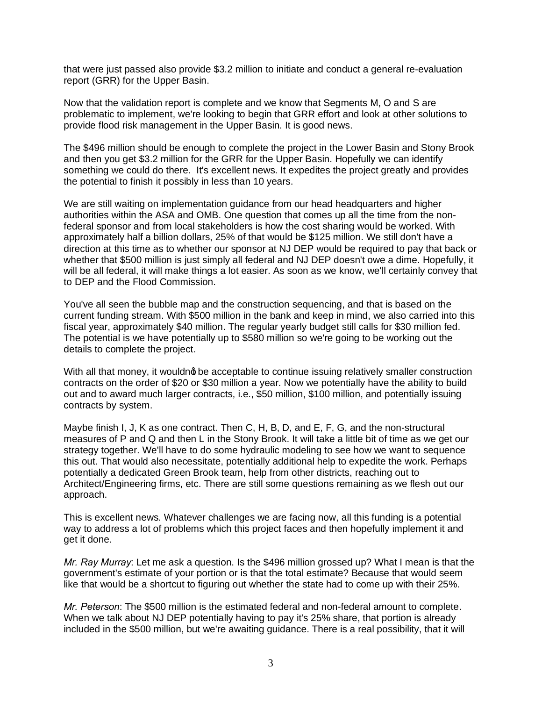that were just passed also provide \$3.2 million to initiate and conduct a general re-evaluation report (GRR) for the Upper Basin.

Now that the validation report is complete and we know that Segments M, O and S are problematic to implement, we're looking to begin that GRR effort and look at other solutions to provide flood risk management in the Upper Basin. It is good news.

The \$496 million should be enough to complete the project in the Lower Basin and Stony Brook and then you get \$3.2 million for the GRR for the Upper Basin. Hopefully we can identify something we could do there. It's excellent news. It expedites the project greatly and provides the potential to finish it possibly in less than 10 years.

We are still waiting on implementation guidance from our head headquarters and higher authorities within the ASA and OMB. One question that comes up all the time from the nonfederal sponsor and from local stakeholders is how the cost sharing would be worked. With approximately half a billion dollars, 25% of that would be \$125 million. We still don't have a direction at this time as to whether our sponsor at NJ DEP would be required to pay that back or whether that \$500 million is just simply all federal and NJ DEP doesn't owe a dime. Hopefully, it will be all federal, it will make things a lot easier. As soon as we know, we'll certainly convey that to DEP and the Flood Commission.

You've all seen the bubble map and the construction sequencing, and that is based on the current funding stream. With \$500 million in the bank and keep in mind, we also carried into this fiscal year, approximately \$40 million. The regular yearly budget still calls for \$30 million fed. The potential is we have potentially up to \$580 million so we're going to be working out the details to complete the project.

With all that money, it wouldnot be acceptable to continue issuing relatively smaller construction contracts on the order of \$20 or \$30 million a year. Now we potentially have the ability to build out and to award much larger contracts, i.e., \$50 million, \$100 million, and potentially issuing contracts by system.

Maybe finish I, J, K as one contract. Then C, H, B, D, and E, F, G, and the non-structural measures of P and Q and then L in the Stony Brook. It will take a little bit of time as we get our strategy together. We'll have to do some hydraulic modeling to see how we want to sequence this out. That would also necessitate, potentially additional help to expedite the work. Perhaps potentially a dedicated Green Brook team, help from other districts, reaching out to Architect/Engineering firms, etc. There are still some questions remaining as we flesh out our approach.

This is excellent news. Whatever challenges we are facing now, all this funding is a potential way to address a lot of problems which this project faces and then hopefully implement it and get it done.

*Mr. Ray Murray*: Let me ask a question. Is the \$496 million grossed up? What I mean is that the government's estimate of your portion or is that the total estimate? Because that would seem like that would be a shortcut to figuring out whether the state had to come up with their 25%.

*Mr. Peterson*: The \$500 million is the estimated federal and non-federal amount to complete. When we talk about NJ DEP potentially having to pay it's 25% share, that portion is already included in the \$500 million, but we're awaiting guidance. There is a real possibility, that it will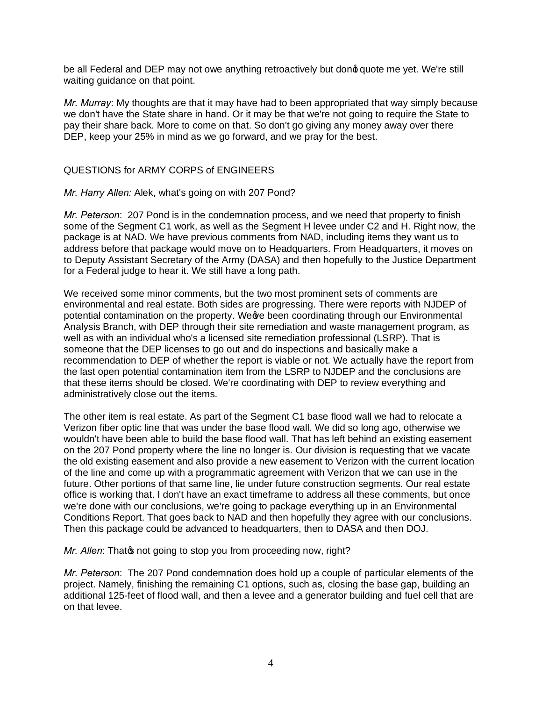be all Federal and DEP may not owe anything retroactively but dong quote me yet. We're still waiting guidance on that point.

*Mr. Murray*: My thoughts are that it may have had to been appropriated that way simply because we don't have the State share in hand. Or it may be that we're not going to require the State to pay their share back. More to come on that. So don't go giving any money away over there DEP, keep your 25% in mind as we go forward, and we pray for the best.

## QUESTIONS for ARMY CORPS of ENGINEERS

### *Mr. Harry Allen:* Alek, what's going on with 207 Pond?

*Mr. Peterson*: 207 Pond is in the condemnation process, and we need that property to finish some of the Segment C1 work, as well as the Segment H levee under C2 and H. Right now, the package is at NAD. We have previous comments from NAD, including items they want us to address before that package would move on to Headquarters. From Headquarters, it moves on to Deputy Assistant Secretary of the Army (DASA) and then hopefully to the Justice Department for a Federal judge to hear it. We still have a long path.

We received some minor comments, but the two most prominent sets of comments are environmental and real estate. Both sides are progressing. There were reports with NJDEP of potential contamination on the property. We we been coordinating through our Environmental Analysis Branch, with DEP through their site remediation and waste management program, as well as with an individual who's a licensed site remediation professional (LSRP). That is someone that the DEP licenses to go out and do inspections and basically make a recommendation to DEP of whether the report is viable or not. We actually have the report from the last open potential contamination item from the LSRP to NJDEP and the conclusions are that these items should be closed. We're coordinating with DEP to review everything and administratively close out the items.

The other item is real estate. As part of the Segment C1 base flood wall we had to relocate a Verizon fiber optic line that was under the base flood wall. We did so long ago, otherwise we wouldn't have been able to build the base flood wall. That has left behind an existing easement on the 207 Pond property where the line no longer is. Our division is requesting that we vacate the old existing easement and also provide a new easement to Verizon with the current location of the line and come up with a programmatic agreement with Verizon that we can use in the future. Other portions of that same line, lie under future construction segments. Our real estate office is working that. I don't have an exact timeframe to address all these comments, but once we're done with our conclusions, we're going to package everything up in an Environmental Conditions Report. That goes back to NAD and then hopefully they agree with our conclusions. Then this package could be advanced to headquarters, then to DASA and then DOJ.

*Mr. Allen:* That on the going to stop you from proceeding now, right?

*Mr. Peterson*: The 207 Pond condemnation does hold up a couple of particular elements of the project. Namely, finishing the remaining C1 options, such as, closing the base gap, building an additional 125-feet of flood wall, and then a levee and a generator building and fuel cell that are on that levee.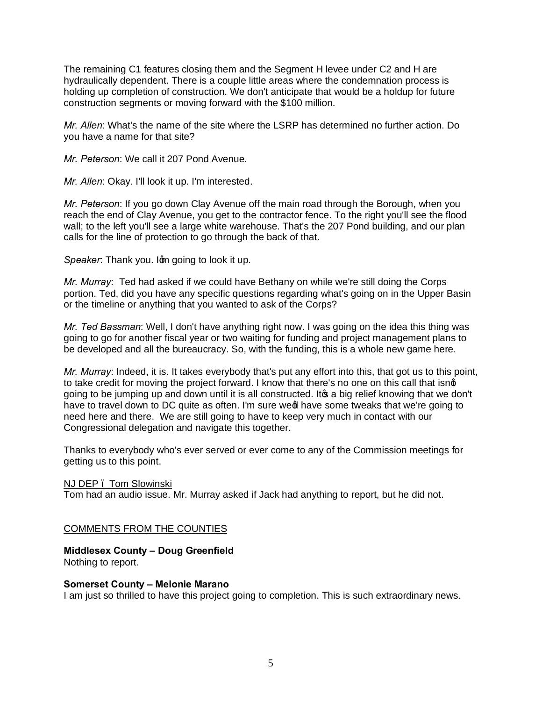The remaining C1 features closing them and the Segment H levee under C2 and H are hydraulically dependent. There is a couple little areas where the condemnation process is holding up completion of construction. We don't anticipate that would be a holdup for future construction segments or moving forward with the \$100 million.

*Mr. Allen*: What's the name of the site where the LSRP has determined no further action. Do you have a name for that site?

*Mr. Peterson*: We call it 207 Pond Avenue.

*Mr. Allen*: Okay. I'll look it up. I'm interested.

*Mr. Peterson*: If you go down Clay Avenue off the main road through the Borough, when you reach the end of Clay Avenue, you get to the contractor fence. To the right you'll see the flood wall; to the left you'll see a large white warehouse. That's the 207 Pond building, and our plan calls for the line of protection to go through the back of that.

*Speaker*: Thank you. Iom going to look it up.

*Mr. Murray*: Ted had asked if we could have Bethany on while we're still doing the Corps portion. Ted, did you have any specific questions regarding what's going on in the Upper Basin or the timeline or anything that you wanted to ask of the Corps?

*Mr. Ted Bassman*: Well, I don't have anything right now. I was going on the idea this thing was going to go for another fiscal year or two waiting for funding and project management plans to be developed and all the bureaucracy. So, with the funding, this is a whole new game here.

*Mr. Murray*: Indeed, it is. It takes everybody that's put any effort into this, that got us to this point, to take credit for moving the project forward. I know that there's no one on this call that isng going to be jumping up and down until it is all constructed. It is a big relief knowing that we don't have to travel down to DC quite as often. I'm sure wed have some tweaks that we're going to need here and there. We are still going to have to keep very much in contact with our Congressional delegation and navigate this together.

Thanks to everybody who's ever served or ever come to any of the Commission meetings for getting us to this point.

NJ DEP – Tom Slowinski

Tom had an audio issue. Mr. Murray asked if Jack had anything to report, but he did not.

# COMMENTS FROM THE COUNTIES

# **Middlesex County – Doug Greenfield**

Nothing to report.

#### **Somerset County – Melonie Marano**

I am just so thrilled to have this project going to completion. This is such extraordinary news.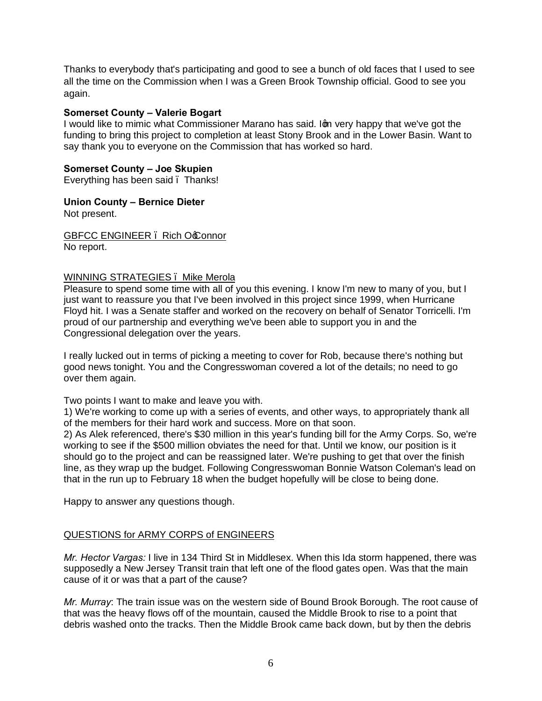Thanks to everybody that's participating and good to see a bunch of old faces that I used to see all the time on the Commission when I was a Green Brook Township official. Good to see you again.

### **Somerset County – Valerie Bogart**

I would like to mimic what Commissioner Marano has said. Iom very happy that we've got the funding to bring this project to completion at least Stony Brook and in the Lower Basin. Want to say thank you to everyone on the Commission that has worked so hard.

## **Somerset County – Joe Skupien**

Everything has been said. Thanks!

**Union County – Bernice Dieter**

Not present.

GBFCC ENGINEER . Rich Occonnor No report.

#### WINNING STRATEGIES. Mike Merola

Pleasure to spend some time with all of you this evening. I know I'm new to many of you, but I just want to reassure you that I've been involved in this project since 1999, when Hurricane Floyd hit. I was a Senate staffer and worked on the recovery on behalf of Senator Torricelli. I'm proud of our partnership and everything we've been able to support you in and the Congressional delegation over the years.

I really lucked out in terms of picking a meeting to cover for Rob, because there's nothing but good news tonight. You and the Congresswoman covered a lot of the details; no need to go over them again.

Two points I want to make and leave you with.

1) We're working to come up with a series of events, and other ways, to appropriately thank all of the members for their hard work and success. More on that soon.

2) As Alek referenced, there's \$30 million in this year's funding bill for the Army Corps. So, we're working to see if the \$500 million obviates the need for that. Until we know, our position is it should go to the project and can be reassigned later. We're pushing to get that over the finish line, as they wrap up the budget. Following Congresswoman Bonnie Watson Coleman's lead on that in the run up to February 18 when the budget hopefully will be close to being done.

Happy to answer any questions though.

# QUESTIONS for ARMY CORPS of ENGINEERS

*Mr. Hector Vargas:* I live in 134 Third St in Middlesex. When this Ida storm happened, there was supposedly a New Jersey Transit train that left one of the flood gates open. Was that the main cause of it or was that a part of the cause?

*Mr. Murray*: The train issue was on the western side of Bound Brook Borough. The root cause of that was the heavy flows off of the mountain, caused the Middle Brook to rise to a point that debris washed onto the tracks. Then the Middle Brook came back down, but by then the debris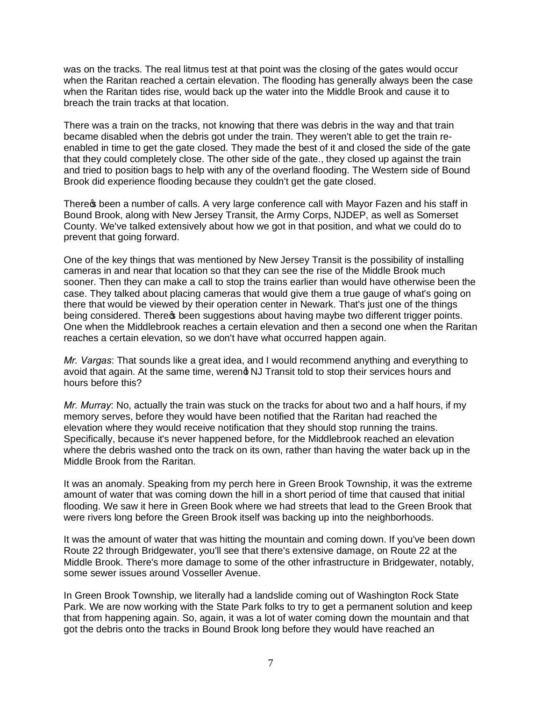was on the tracks. The real litmus test at that point was the closing of the gates would occur when the Raritan reached a certain elevation. The flooding has generally always been the case when the Raritan tides rise, would back up the water into the Middle Brook and cause it to breach the train tracks at that location.

There was a train on the tracks, not knowing that there was debris in the way and that train became disabled when the debris got under the train. They weren't able to get the train reenabled in time to get the gate closed. They made the best of it and closed the side of the gate that they could completely close. The other side of the gate., they closed up against the train and tried to position bags to help with any of the overland flooding. The Western side of Bound Brook did experience flooding because they couldn't get the gate closed.

There theen a number of calls. A very large conference call with Mayor Fazen and his staff in Bound Brook, along with New Jersey Transit, the Army Corps, NJDEP, as well as Somerset County. We've talked extensively about how we got in that position, and what we could do to prevent that going forward.

One of the key things that was mentioned by New Jersey Transit is the possibility of installing cameras in and near that location so that they can see the rise of the Middle Brook much sooner. Then they can make a call to stop the trains earlier than would have otherwise been the case. They talked about placing cameras that would give them a true gauge of what's going on there that would be viewed by their operation center in Newark. That's just one of the things being considered. There of been suggestions about having maybe two different trigger points. One when the Middlebrook reaches a certain elevation and then a second one when the Raritan reaches a certain elevation, so we don't have what occurred happen again.

*Mr. Vargas*: That sounds like a great idea, and I would recommend anything and everything to avoid that again. At the same time, werend NJ Transit told to stop their services hours and hours before this?

*Mr. Murray*: No, actually the train was stuck on the tracks for about two and a half hours, if my memory serves, before they would have been notified that the Raritan had reached the elevation where they would receive notification that they should stop running the trains. Specifically, because it's never happened before, for the Middlebrook reached an elevation where the debris washed onto the track on its own, rather than having the water back up in the Middle Brook from the Raritan.

It was an anomaly. Speaking from my perch here in Green Brook Township, it was the extreme amount of water that was coming down the hill in a short period of time that caused that initial flooding. We saw it here in Green Book where we had streets that lead to the Green Brook that were rivers long before the Green Brook itself was backing up into the neighborhoods.

It was the amount of water that was hitting the mountain and coming down. If you've been down Route 22 through Bridgewater, you'll see that there's extensive damage, on Route 22 at the Middle Brook. There's more damage to some of the other infrastructure in Bridgewater, notably, some sewer issues around Vosseller Avenue.

In Green Brook Township, we literally had a landslide coming out of Washington Rock State Park. We are now working with the State Park folks to try to get a permanent solution and keep that from happening again. So, again, it was a lot of water coming down the mountain and that got the debris onto the tracks in Bound Brook long before they would have reached an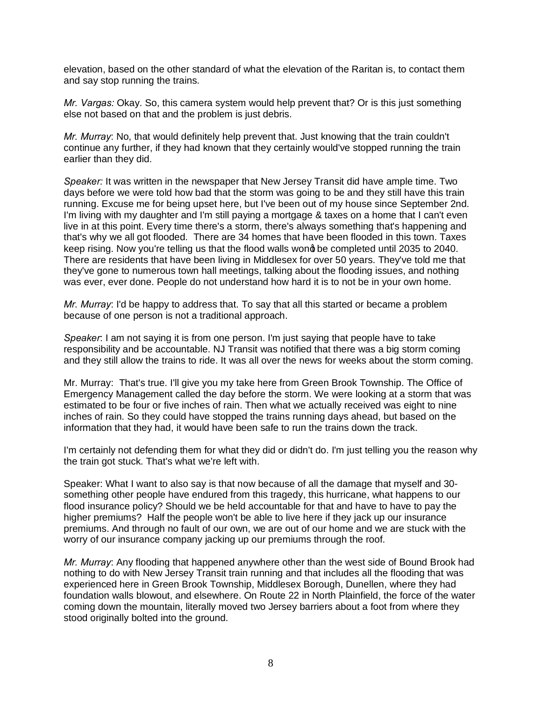elevation, based on the other standard of what the elevation of the Raritan is, to contact them and say stop running the trains.

*Mr. Vargas:* Okay. So, this camera system would help prevent that? Or is this just something else not based on that and the problem is just debris.

*Mr. Murray*: No, that would definitely help prevent that. Just knowing that the train couldn't continue any further, if they had known that they certainly would've stopped running the train earlier than they did.

*Speaker:* It was written in the newspaper that New Jersey Transit did have ample time. Two days before we were told how bad that the storm was going to be and they still have this train running. Excuse me for being upset here, but I've been out of my house since September 2nd. I'm living with my daughter and I'm still paying a mortgage & taxes on a home that I can't even live in at this point. Every time there's a storm, there's always something that's happening and that's why we all got flooded. There are 34 homes that have been flooded in this town. Taxes keep rising. Now you're telling us that the flood walls wond be completed until 2035 to 2040. There are residents that have been living in Middlesex for over 50 years. They've told me that they've gone to numerous town hall meetings, talking about the flooding issues, and nothing was ever, ever done. People do not understand how hard it is to not be in your own home.

*Mr. Murray*: I'd be happy to address that. To say that all this started or became a problem because of one person is not a traditional approach.

*Speaker*: I am not saying it is from one person. I'm just saying that people have to take responsibility and be accountable. NJ Transit was notified that there was a big storm coming and they still allow the trains to ride. It was all over the news for weeks about the storm coming.

Mr. Murray: That's true. I'll give you my take here from Green Brook Township. The Office of Emergency Management called the day before the storm. We were looking at a storm that was estimated to be four or five inches of rain. Then what we actually received was eight to nine inches of rain. So they could have stopped the trains running days ahead, but based on the information that they had, it would have been safe to run the trains down the track.

I'm certainly not defending them for what they did or didn't do. I'm just telling you the reason why the train got stuck. That's what we're left with.

Speaker: What I want to also say is that now because of all the damage that myself and 30 something other people have endured from this tragedy, this hurricane, what happens to our flood insurance policy? Should we be held accountable for that and have to have to pay the higher premiums? Half the people won't be able to live here if they jack up our insurance premiums. And through no fault of our own, we are out of our home and we are stuck with the worry of our insurance company jacking up our premiums through the roof.

*Mr. Murray*: Any flooding that happened anywhere other than the west side of Bound Brook had nothing to do with New Jersey Transit train running and that includes all the flooding that was experienced here in Green Brook Township, Middlesex Borough, Dunellen, where they had foundation walls blowout, and elsewhere. On Route 22 in North Plainfield, the force of the water coming down the mountain, literally moved two Jersey barriers about a foot from where they stood originally bolted into the ground.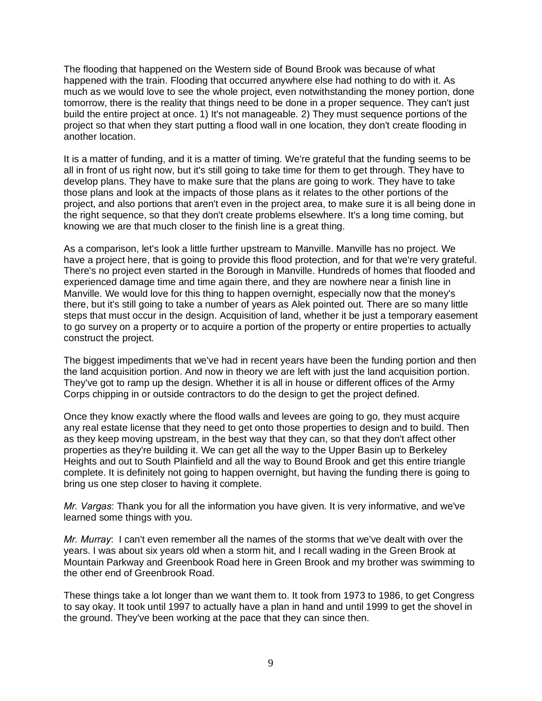The flooding that happened on the Western side of Bound Brook was because of what happened with the train. Flooding that occurred anywhere else had nothing to do with it. As much as we would love to see the whole project, even notwithstanding the money portion, done tomorrow, there is the reality that things need to be done in a proper sequence. They can't just build the entire project at once. 1) It's not manageable. 2) They must sequence portions of the project so that when they start putting a flood wall in one location, they don't create flooding in another location.

It is a matter of funding, and it is a matter of timing. We're grateful that the funding seems to be all in front of us right now, but it's still going to take time for them to get through. They have to develop plans. They have to make sure that the plans are going to work. They have to take those plans and look at the impacts of those plans as it relates to the other portions of the project, and also portions that aren't even in the project area, to make sure it is all being done in the right sequence, so that they don't create problems elsewhere. It's a long time coming, but knowing we are that much closer to the finish line is a great thing.

As a comparison, let's look a little further upstream to Manville. Manville has no project. We have a project here, that is going to provide this flood protection, and for that we're very grateful. There's no project even started in the Borough in Manville. Hundreds of homes that flooded and experienced damage time and time again there, and they are nowhere near a finish line in Manville. We would love for this thing to happen overnight, especially now that the money's there, but it's still going to take a number of years as Alek pointed out. There are so many little steps that must occur in the design. Acquisition of land, whether it be just a temporary easement to go survey on a property or to acquire a portion of the property or entire properties to actually construct the project.

The biggest impediments that we've had in recent years have been the funding portion and then the land acquisition portion. And now in theory we are left with just the land acquisition portion. They've got to ramp up the design. Whether it is all in house or different offices of the Army Corps chipping in or outside contractors to do the design to get the project defined.

Once they know exactly where the flood walls and levees are going to go, they must acquire any real estate license that they need to get onto those properties to design and to build. Then as they keep moving upstream, in the best way that they can, so that they don't affect other properties as they're building it. We can get all the way to the Upper Basin up to Berkeley Heights and out to South Plainfield and all the way to Bound Brook and get this entire triangle complete. It is definitely not going to happen overnight, but having the funding there is going to bring us one step closer to having it complete.

*Mr. Vargas*: Thank you for all the information you have given. It is very informative, and we've learned some things with you.

*Mr. Murray*: I can't even remember all the names of the storms that we've dealt with over the years. I was about six years old when a storm hit, and I recall wading in the Green Brook at Mountain Parkway and Greenbook Road here in Green Brook and my brother was swimming to the other end of Greenbrook Road.

These things take a lot longer than we want them to. It took from 1973 to 1986, to get Congress to say okay. It took until 1997 to actually have a plan in hand and until 1999 to get the shovel in the ground. They've been working at the pace that they can since then.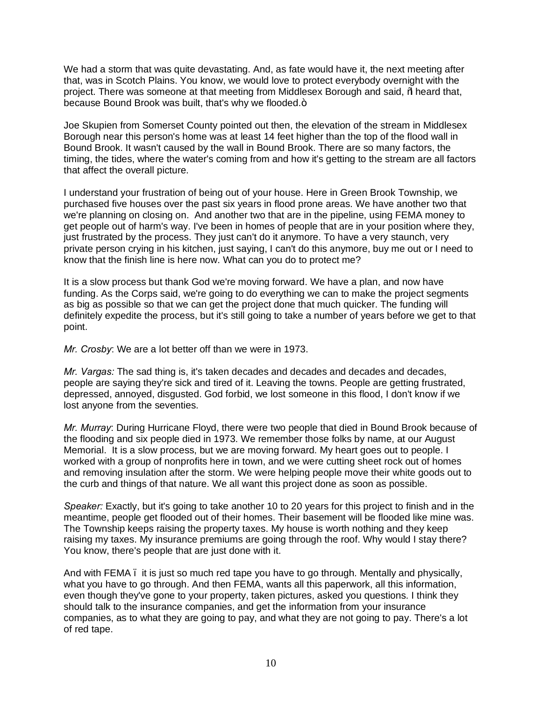We had a storm that was quite devastating. And, as fate would have it, the next meeting after that, was in Scotch Plains. You know, we would love to protect everybody overnight with the project. There was someone at that meeting from Middlesex Borough and said, % heard that, because Bound Brook was built, that's why we flooded.+

Joe Skupien from Somerset County pointed out then, the elevation of the stream in Middlesex Borough near this person's home was at least 14 feet higher than the top of the flood wall in Bound Brook. It wasn't caused by the wall in Bound Brook. There are so many factors, the timing, the tides, where the water's coming from and how it's getting to the stream are all factors that affect the overall picture.

I understand your frustration of being out of your house. Here in Green Brook Township, we purchased five houses over the past six years in flood prone areas. We have another two that we're planning on closing on. And another two that are in the pipeline, using FEMA money to get people out of harm's way. I've been in homes of people that are in your position where they, just frustrated by the process. They just can't do it anymore. To have a very staunch, very private person crying in his kitchen, just saying, I can't do this anymore, buy me out or I need to know that the finish line is here now. What can you do to protect me?

It is a slow process but thank God we're moving forward. We have a plan, and now have funding. As the Corps said, we're going to do everything we can to make the project segments as big as possible so that we can get the project done that much quicker. The funding will definitely expedite the process, but it's still going to take a number of years before we get to that point.

*Mr. Crosby*: We are a lot better off than we were in 1973.

*Mr. Vargas:* The sad thing is, it's taken decades and decades and decades and decades, people are saying they're sick and tired of it. Leaving the towns. People are getting frustrated, depressed, annoyed, disgusted. God forbid, we lost someone in this flood, I don't know if we lost anyone from the seventies.

*Mr. Murray*: During Hurricane Floyd, there were two people that died in Bound Brook because of the flooding and six people died in 1973. We remember those folks by name, at our August Memorial. It is a slow process, but we are moving forward. My heart goes out to people. I worked with a group of nonprofits here in town, and we were cutting sheet rock out of homes and removing insulation after the storm. We were helping people move their white goods out to the curb and things of that nature. We all want this project done as soon as possible.

*Speaker:* Exactly, but it's going to take another 10 to 20 years for this project to finish and in the meantime, people get flooded out of their homes. Their basement will be flooded like mine was. The Township keeps raising the property taxes. My house is worth nothing and they keep raising my taxes. My insurance premiums are going through the roof. Why would I stay there? You know, there's people that are just done with it.

And with FEMA – it is just so much red tape you have to go through. Mentally and physically, what you have to go through. And then FEMA, wants all this paperwork, all this information, even though they've gone to your property, taken pictures, asked you questions. I think they should talk to the insurance companies, and get the information from your insurance companies, as to what they are going to pay, and what they are not going to pay. There's a lot of red tape.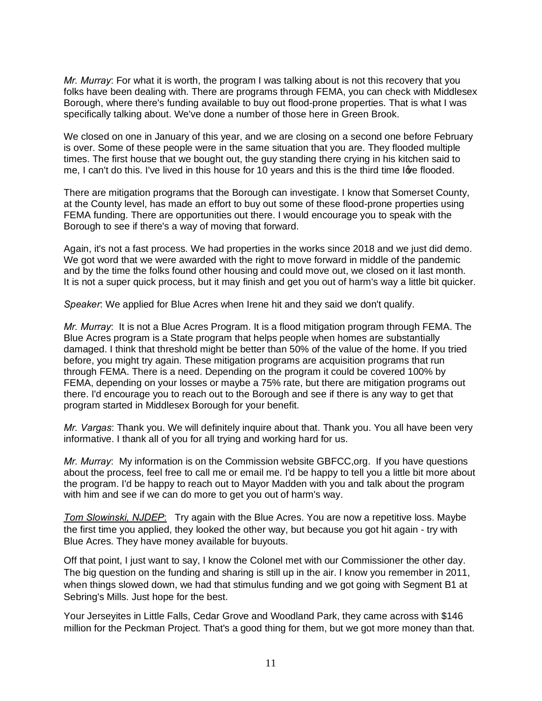*Mr. Murray*: For what it is worth, the program I was talking about is not this recovery that you folks have been dealing with. There are programs through FEMA, you can check with Middlesex Borough, where there's funding available to buy out flood-prone properties. That is what I was specifically talking about. We've done a number of those here in Green Brook.

We closed on one in January of this year, and we are closing on a second one before February is over. Some of these people were in the same situation that you are. They flooded multiple times. The first house that we bought out, the guy standing there crying in his kitchen said to me, I can't do this. I've lived in this house for 10 years and this is the third time Igye flooded.

There are mitigation programs that the Borough can investigate. I know that Somerset County, at the County level, has made an effort to buy out some of these flood-prone properties using FEMA funding. There are opportunities out there. I would encourage you to speak with the Borough to see if there's a way of moving that forward.

Again, it's not a fast process. We had properties in the works since 2018 and we just did demo. We got word that we were awarded with the right to move forward in middle of the pandemic and by the time the folks found other housing and could move out, we closed on it last month. It is not a super quick process, but it may finish and get you out of harm's way a little bit quicker.

*Speaker*: We applied for Blue Acres when Irene hit and they said we don't qualify.

*Mr. Murray*: It is not a Blue Acres Program. It is a flood mitigation program through FEMA. The Blue Acres program is a State program that helps people when homes are substantially damaged. I think that threshold might be better than 50% of the value of the home. If you tried before, you might try again. These mitigation programs are acquisition programs that run through FEMA. There is a need. Depending on the program it could be covered 100% by FEMA, depending on your losses or maybe a 75% rate, but there are mitigation programs out there. I'd encourage you to reach out to the Borough and see if there is any way to get that program started in Middlesex Borough for your benefit.

*Mr. Vargas*: Thank you. We will definitely inquire about that. Thank you. You all have been very informative. I thank all of you for all trying and working hard for us.

*Mr. Murray*: My information is on the Commission website GBFCC,org. If you have questions about the process, feel free to call me or email me. I'd be happy to tell you a little bit more about the program. I'd be happy to reach out to Mayor Madden with you and talk about the program with him and see if we can do more to get you out of harm's way.

*Tom Slowinski, NJDEP*: Try again with the Blue Acres. You are now a repetitive loss. Maybe the first time you applied, they looked the other way, but because you got hit again - try with Blue Acres. They have money available for buyouts.

Off that point, I just want to say, I know the Colonel met with our Commissioner the other day. The big question on the funding and sharing is still up in the air. I know you remember in 2011, when things slowed down, we had that stimulus funding and we got going with Segment B1 at Sebring's Mills. Just hope for the best.

Your Jerseyites in Little Falls, Cedar Grove and Woodland Park, they came across with \$146 million for the Peckman Project. That's a good thing for them, but we got more money than that.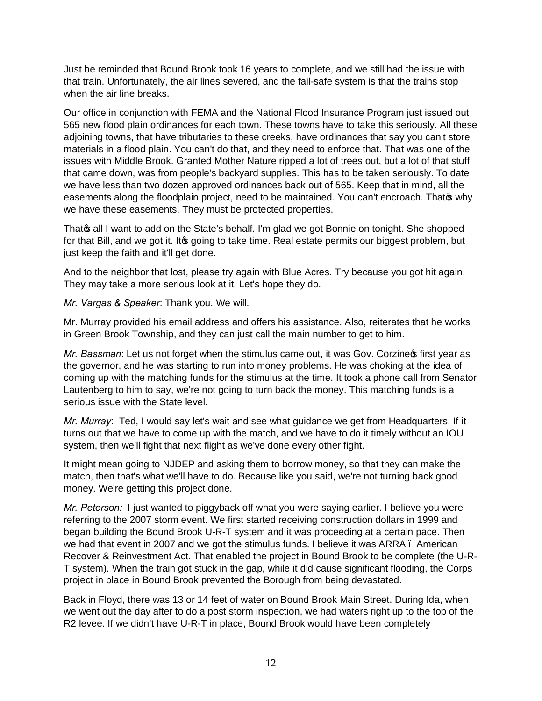Just be reminded that Bound Brook took 16 years to complete, and we still had the issue with that train. Unfortunately, the air lines severed, and the fail-safe system is that the trains stop when the air line breaks.

Our office in conjunction with FEMA and the National Flood Insurance Program just issued out 565 new flood plain ordinances for each town. These towns have to take this seriously. All these adjoining towns, that have tributaries to these creeks, have ordinances that say you can't store materials in a flood plain. You can't do that, and they need to enforce that. That was one of the issues with Middle Brook. Granted Mother Nature ripped a lot of trees out, but a lot of that stuff that came down, was from people's backyard supplies. This has to be taken seriously. To date we have less than two dozen approved ordinances back out of 565. Keep that in mind, all the easements along the floodplain project, need to be maintained. You can't encroach. Thate why we have these easements. They must be protected properties.

That all I want to add on the State's behalf. I'm glad we got Bonnie on tonight. She shopped for that Bill, and we got it. It aggoing to take time. Real estate permits our biggest problem, but just keep the faith and it'll get done.

And to the neighbor that lost, please try again with Blue Acres. Try because you got hit again. They may take a more serious look at it. Let's hope they do.

*Mr. Vargas & Speaker*: Thank you. We will.

Mr. Murray provided his email address and offers his assistance. Also, reiterates that he works in Green Brook Township, and they can just call the main number to get to him.

*Mr. Bassman*: Let us not forget when the stimulus came out, it was Gov. Corzine of first year as the governor, and he was starting to run into money problems. He was choking at the idea of coming up with the matching funds for the stimulus at the time. It took a phone call from Senator Lautenberg to him to say, we're not going to turn back the money. This matching funds is a serious issue with the State level.

*Mr. Murray*: Ted, I would say let's wait and see what guidance we get from Headquarters. If it turns out that we have to come up with the match, and we have to do it timely without an IOU system, then we'll fight that next flight as we've done every other fight.

It might mean going to NJDEP and asking them to borrow money, so that they can make the match, then that's what we'll have to do. Because like you said, we're not turning back good money. We're getting this project done.

*Mr. Peterson:* I just wanted to piggyback off what you were saying earlier. I believe you were referring to the 2007 storm event. We first started receiving construction dollars in 1999 and began building the Bound Brook U-R-T system and it was proceeding at a certain pace. Then we had that event in 2007 and we got the stimulus funds. I believe it was ARRA. American Recover & Reinvestment Act. That enabled the project in Bound Brook to be complete (the U-R-T system). When the train got stuck in the gap, while it did cause significant flooding, the Corps project in place in Bound Brook prevented the Borough from being devastated.

Back in Floyd, there was 13 or 14 feet of water on Bound Brook Main Street. During Ida, when we went out the day after to do a post storm inspection, we had waters right up to the top of the R2 levee. If we didn't have U-R-T in place, Bound Brook would have been completely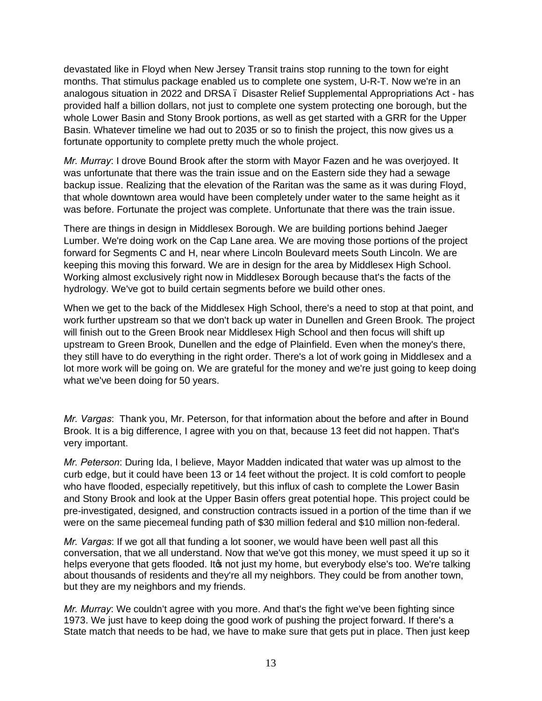devastated like in Floyd when New Jersey Transit trains stop running to the town for eight months. That stimulus package enabled us to complete one system, U-R-T. Now we're in an analogous situation in 2022 and DRSA – Disaster Relief Supplemental Appropriations Act - has provided half a billion dollars, not just to complete one system protecting one borough, but the whole Lower Basin and Stony Brook portions, as well as get started with a GRR for the Upper Basin. Whatever timeline we had out to 2035 or so to finish the project, this now gives us a fortunate opportunity to complete pretty much the whole project.

*Mr. Murray*: I drove Bound Brook after the storm with Mayor Fazen and he was overjoyed. It was unfortunate that there was the train issue and on the Eastern side they had a sewage backup issue. Realizing that the elevation of the Raritan was the same as it was during Floyd, that whole downtown area would have been completely under water to the same height as it was before. Fortunate the project was complete. Unfortunate that there was the train issue.

There are things in design in Middlesex Borough. We are building portions behind Jaeger Lumber. We're doing work on the Cap Lane area. We are moving those portions of the project forward for Segments C and H, near where Lincoln Boulevard meets South Lincoln. We are keeping this moving this forward. We are in design for the area by Middlesex High School. Working almost exclusively right now in Middlesex Borough because that's the facts of the hydrology. We've got to build certain segments before we build other ones.

When we get to the back of the Middlesex High School, there's a need to stop at that point, and work further upstream so that we don't back up water in Dunellen and Green Brook. The project will finish out to the Green Brook near Middlesex High School and then focus will shift up upstream to Green Brook, Dunellen and the edge of Plainfield. Even when the money's there, they still have to do everything in the right order. There's a lot of work going in Middlesex and a lot more work will be going on. We are grateful for the money and we're just going to keep doing what we've been doing for 50 years.

*Mr. Vargas*: Thank you, Mr. Peterson, for that information about the before and after in Bound Brook. It is a big difference, I agree with you on that, because 13 feet did not happen. That's very important.

*Mr. Peterson*: During Ida, I believe, Mayor Madden indicated that water was up almost to the curb edge, but it could have been 13 or 14 feet without the project. It is cold comfort to people who have flooded, especially repetitively, but this influx of cash to complete the Lower Basin and Stony Brook and look at the Upper Basin offers great potential hope. This project could be pre-investigated, designed, and construction contracts issued in a portion of the time than if we were on the same piecemeal funding path of \$30 million federal and \$10 million non-federal.

*Mr. Vargas*: If we got all that funding a lot sooner, we would have been well past all this conversation, that we all understand. Now that we've got this money, we must speed it up so it helps everyone that gets flooded. It is not just my home, but everybody else's too. We're talking about thousands of residents and they're all my neighbors. They could be from another town, but they are my neighbors and my friends.

*Mr. Murray*: We couldn't agree with you more. And that's the fight we've been fighting since 1973. We just have to keep doing the good work of pushing the project forward. If there's a State match that needs to be had, we have to make sure that gets put in place. Then just keep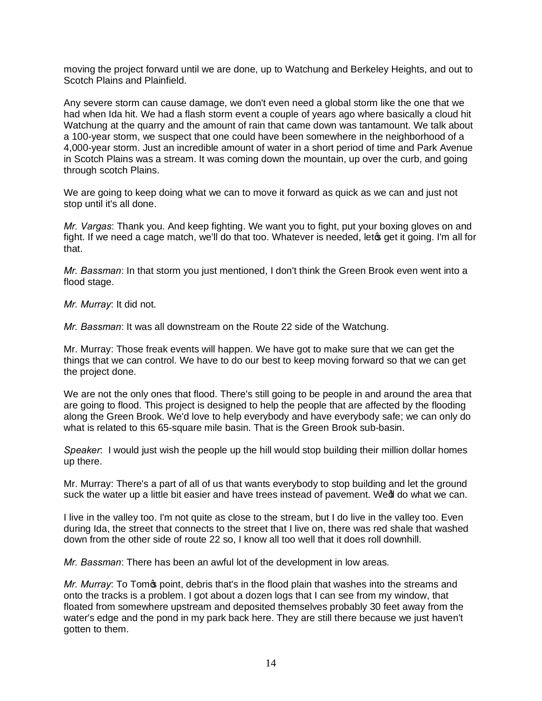moving the project forward until we are done, up to Watchung and Berkeley Heights, and out to Scotch Plains and Plainfield.

Any severe storm can cause damage, we don't even need a global storm like the one that we had when Ida hit. We had a flash storm event a couple of years ago where basically a cloud hit Watchung at the quarry and the amount of rain that came down was tantamount. We talk about a 100-year storm, we suspect that one could have been somewhere in the neighborhood of a 4,000-year storm. Just an incredible amount of water in a short period of time and Park Avenue in Scotch Plains was a stream. It was coming down the mountain, up over the curb, and going through scotch Plains.

We are going to keep doing what we can to move it forward as quick as we can and just not stop until it's all done.

*Mr. Vargas*: Thank you. And keep fighting. We want you to fight, put your boxing gloves on and fight. If we need a cage match, we'll do that too. Whatever is needed, let get it going. I'm all for that.

*Mr. Bassman*: In that storm you just mentioned, I don't think the Green Brook even went into a flood stage.

*Mr. Murray*: It did not.

*Mr. Bassman*: It was all downstream on the Route 22 side of the Watchung.

Mr. Murray: Those freak events will happen. We have got to make sure that we can get the things that we can control. We have to do our best to keep moving forward so that we can get the project done.

We are not the only ones that flood. There's still going to be people in and around the area that are going to flood. This project is designed to help the people that are affected by the flooding along the Green Brook. We'd love to help everybody and have everybody safe; we can only do what is related to this 65-square mile basin. That is the Green Brook sub-basin.

*Speaker*: I would just wish the people up the hill would stop building their million dollar homes up there.

Mr. Murray: There's a part of all of us that wants everybody to stop building and let the ground suck the water up a little bit easier and have trees instead of pavement. Wed do what we can.

I live in the valley too. I'm not quite as close to the stream, but I do live in the valley too. Even during Ida, the street that connects to the street that I live on, there was red shale that washed down from the other side of route 22 so, I know all too well that it does roll downhill.

*Mr. Bassman*: There has been an awful lot of the development in low areas.

*Mr. Murray*: To Tom<sub><sup>s</sub></sub> point, debris that's in the flood plain that washes into the streams and</sub></sup> onto the tracks is a problem. I got about a dozen logs that I can see from my window, that floated from somewhere upstream and deposited themselves probably 30 feet away from the water's edge and the pond in my park back here. They are still there because we just haven't gotten to them.